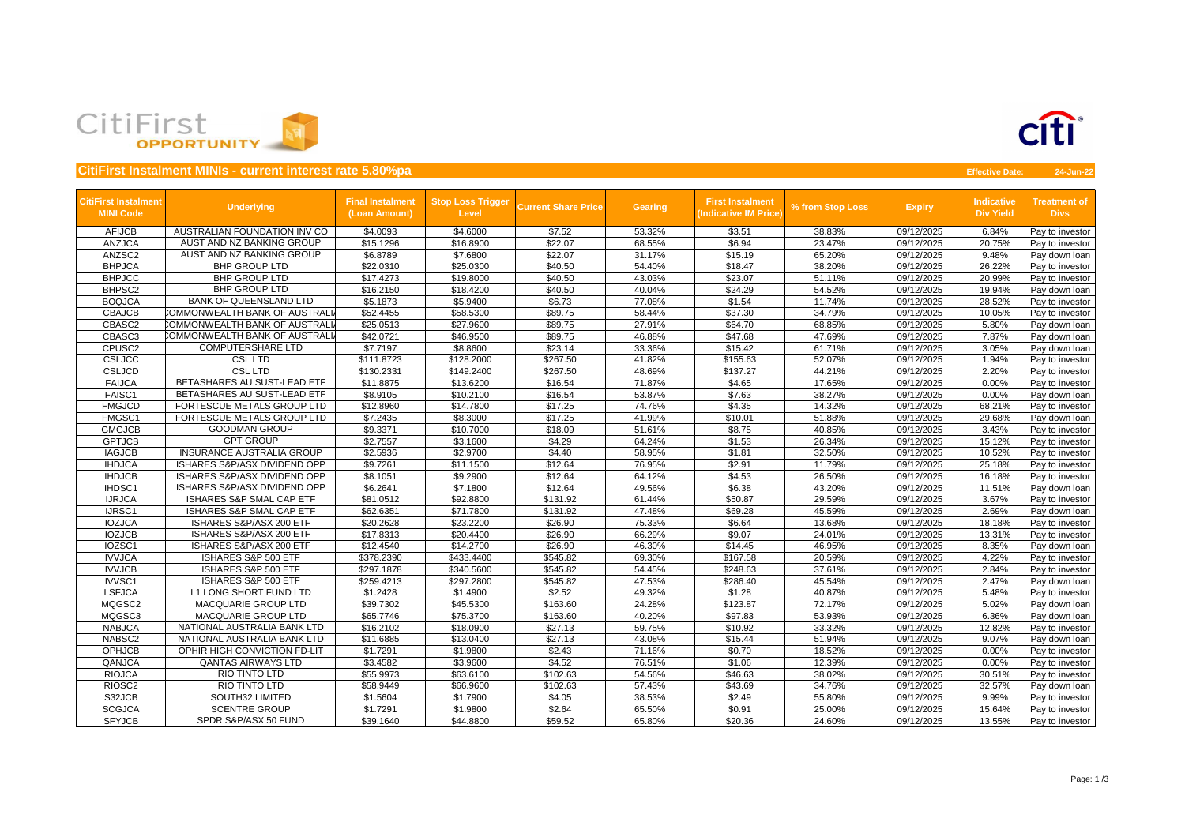

|                                                 | <b>CitiFirst Instalment MINIs - current interest rate 5.80%pa</b> |                                          |                                          |                            |                |                                                        |                  |               | <b>Effective Date:</b>                | 24-Jun-22                          |
|-------------------------------------------------|-------------------------------------------------------------------|------------------------------------------|------------------------------------------|----------------------------|----------------|--------------------------------------------------------|------------------|---------------|---------------------------------------|------------------------------------|
| <b>CitiFirst Instalment</b><br><b>MINI Code</b> | <b>Underlying</b>                                                 | <b>Final Instalment</b><br>(Loan Amount) | <b>Stop Loss Trigger</b><br><b>Level</b> | <b>Current Share Price</b> | <b>Gearing</b> | <b>First Instalment</b><br><b>Indicative IM Price)</b> | % from Stop Loss | <b>Expiry</b> | <b>Indicative</b><br><b>Div Yield</b> | <b>Treatment of</b><br><b>Divs</b> |
| <b>AFIJCB</b>                                   | AUSTRALIAN FOUNDATION INV CO                                      | \$4.0093                                 | \$4.6000                                 | \$7.52                     | 53.32%         | \$3.51                                                 | 38.83%           | 09/12/2025    | 6.84%                                 | Pay to investor                    |
| <b>ANZJCA</b>                                   | AUST AND NZ BANKING GROUP                                         | \$15.1296                                | \$16.8900                                | \$22.07                    | 68.55%         | \$6.94                                                 | 23.47%           | 09/12/2025    | 20.75%                                | Pay to investor                    |
| ANZSC2                                          | AUST AND NZ BANKING GROUP                                         | \$6.8789                                 | \$7.6800                                 | \$22.07                    | 31.17%         | \$15.19                                                | 65.20%           | 09/12/2025    | 9.48%                                 | Pay down loan                      |
| <b>BHPJCA</b>                                   | <b>BHP GROUP LTD</b>                                              | \$22.0310                                | \$25.0300                                | \$40.50                    | 54.40%         | \$18.47                                                | 38.20%           | 09/12/2025    | 26.22%                                | Pay to investor                    |
| <b>BHPJCC</b>                                   | <b>BHP GROUP LTD</b>                                              | \$17.4273                                | \$19.8000                                | \$40.50                    | 43.03%         | \$23.07                                                | 51.11%           | 09/12/2025    | 20.99%                                | Pay to investor                    |
| BHPSC <sub>2</sub>                              | <b>BHP GROUP LTD</b>                                              | \$16.2150                                | \$18.4200                                | \$40.50                    | 40.04%         | \$24.29                                                | 54.52%           | 09/12/2025    | 19.94%                                | Pay down loan                      |
| <b>BOQJCA</b>                                   | <b>BANK OF QUEENSLAND LTD</b>                                     | \$5.1873                                 | \$5.9400                                 | \$6.73                     | 77.08%         | \$1.54                                                 | 11.74%           | 09/12/2025    | 28.52%                                | Pay to investor                    |
| <b>CBAJCB</b>                                   | COMMONWEALTH BANK OF AUSTRALI                                     | \$52.4455                                | \$58.5300                                | \$89.75                    | 58.44%         | \$37.30                                                | 34.79%           | 09/12/2025    | 10.05%                                | Pay to investor                    |
| CBASC2                                          | COMMONWEALTH BANK OF AUSTRALI                                     | \$25.0513                                | \$27.9600                                | \$89.75                    | 27.91%         | \$64.70                                                | 68.85%           | 09/12/2025    | 5.80%                                 | Pay down loan                      |
| CBASC3                                          | COMMONWEALTH BANK OF AUSTRALI                                     | \$42.0721                                | \$46.9500                                | \$89.75                    | 46.88%         | \$47.68                                                | 47.69%           | 09/12/2025    | 7.87%                                 | Pay down loan                      |
| CPUSC2                                          | <b>COMPUTERSHARE LTD</b>                                          | \$7.7197                                 | \$8.8600                                 | \$23.14                    | 33.36%         | \$15.42                                                | 61.71%           | 09/12/2025    | 3.05%                                 | Pay down loan                      |
| <b>CSLJCC</b>                                   | <b>CSL LTD</b>                                                    | \$111.8723                               | \$128.2000                               | \$267.50                   | 41.82%         | \$155.63                                               | 52.07%           | 09/12/2025    | 1.94%                                 | Pay to investor                    |
| <b>CSLJCD</b>                                   | <b>CSL LTD</b>                                                    | \$130.2331                               | \$149.2400                               | \$267.50                   | 48.69%         | \$137.27                                               | 44.21%           | 09/12/2025    | 2.20%                                 | Pay to investor                    |
| <b>FAIJCA</b>                                   | BETASHARES AU SUST-LEAD ETF                                       | \$11.8875                                | \$13.6200                                | \$16.54                    | 71.87%         | \$4.65                                                 | 17.65%           | 09/12/2025    | 0.00%                                 | Pay to investor                    |
| FAISC1                                          | BETASHARES AU SUST-LEAD ETF                                       | \$8.9105                                 | \$10.2100                                | \$16.54                    | 53.87%         | \$7.63                                                 | 38.27%           | 09/12/2025    | 0.00%                                 | Pay down loan                      |
| <b>FMGJCD</b>                                   | FORTESCUE METALS GROUP LTD                                        | \$12.8960                                | \$14.7800                                | \$17.25                    | 74.76%         | \$4.35                                                 | 14.32%           | 09/12/2025    | 68.21%                                | Pay to investor                    |
| FMGSC1                                          | FORTESCUE METALS GROUP LTD                                        | \$7.2435                                 | \$8.3000                                 | \$17.25                    | 41.99%         | \$10.01                                                | 51.88%           | 09/12/2025    | 29.68%                                | Pay down loan                      |
| <b>GMGJCB</b>                                   | <b>GOODMAN GROUP</b>                                              | \$9.3371                                 | \$10.7000                                | \$18.09                    | 51.61%         | \$8.75                                                 | 40.85%           | 09/12/2025    | 3.43%                                 | Pay to investor                    |
| <b>GPTJCB</b>                                   | <b>GPT GROUP</b>                                                  | \$2.7557                                 | \$3.1600                                 | \$4.29                     | 64.24%         | \$1.53                                                 | 26.34%           | 09/12/2025    | 15.12%                                | Pay to investor                    |
| <b>IAGJCB</b>                                   | <b>INSURANCE AUSTRALIA GROUP</b>                                  | \$2.5936                                 | \$2.9700                                 | \$4.40                     | 58.95%         | \$1.81                                                 | 32.50%           | 09/12/2025    | 10.52%                                | Pay to investor                    |
| <b>IHDJCA</b>                                   | ISHARES S&P/ASX DIVIDEND OPP                                      | \$9.7261                                 | \$11.1500                                | \$12.64                    | 76.95%         | \$2.91                                                 | 11.79%           | 09/12/2025    | 25.18%                                | Pay to investor                    |
| <b>IHDJCB</b>                                   | ISHARES S&P/ASX DIVIDEND OPP                                      | \$8.1051                                 | \$9.2900                                 | \$12.64                    | 64.12%         | \$4.53                                                 | 26.50%           | 09/12/2025    | 16.18%                                | Pay to investor                    |
| IHDSC1                                          | ISHARES S&P/ASX DIVIDEND OPP                                      | \$6.2641                                 | \$7.1800                                 | \$12.64                    | 49.56%         | \$6.38                                                 | 43.20%           | 09/12/2025    | 11.51%                                | Pay down loan                      |
| <b>IJRJCA</b>                                   | ISHARES S&P SMAL CAP ETF                                          | \$81.0512                                | \$92.8800                                | \$131.92                   | 61.44%         | \$50.87                                                | 29.59%           | 09/12/2025    | 3.67%                                 | Pay to investor                    |
| IJRSC1                                          | <b>ISHARES S&amp;P SMAL CAP ETF</b>                               | \$62.6351                                | \$71.7800                                | \$131.92                   | 47.48%         | \$69.28                                                | 45.59%           | 09/12/2025    | 2.69%                                 | Pay down loan                      |
| <b>IOZJCA</b>                                   | ISHARES S&P/ASX 200 ETF                                           | \$20.2628                                | \$23.2200                                | \$26.90                    | 75.33%         | \$6.64                                                 | 13.68%           | 09/12/2025    | 18.18%                                | Pay to investor                    |
| <b>IOZJCB</b>                                   | ISHARES S&P/ASX 200 ETF                                           | \$17.8313                                | \$20.4400                                | \$26.90                    | 66.29%         | \$9.07                                                 | 24.01%           | 09/12/2025    | 13.31%                                | Pay to investor                    |
| IOZSC1                                          | ISHARES S&P/ASX 200 ETF                                           | \$12.4540                                | \$14.2700                                | \$26.90                    | 46.30%         | \$14.45                                                | 46.95%           | 09/12/2025    | 8.35%                                 | Pay down loan                      |
| <b>IVVJCA</b>                                   | ISHARES S&P 500 ETF                                               | \$378.2390                               | \$433.4400                               | \$545.82                   | 69.30%         | \$167.58                                               | 20.59%           | 09/12/2025    | 4.22%                                 | Pay to investor                    |
| <b>IVVJCB</b>                                   | ISHARES S&P 500 ETF                                               | \$297.1878                               | \$340.5600                               | \$545.82                   | 54.45%         | \$248.63                                               | 37.61%           | 09/12/2025    | 2.84%                                 | Pay to investor                    |
| IVVSC1                                          | ISHARES S&P 500 ETF                                               | \$259.4213                               | \$297.2800                               | \$545.82                   | 47.53%         | \$286.40                                               | 45.54%           | 09/12/2025    | 2.47%                                 | Pay down loan                      |
| <b>LSFJCA</b>                                   | L1 LONG SHORT FUND LTD                                            | \$1.2428                                 | \$1.4900                                 | \$2.52                     | 49.32%         | \$1.28                                                 | 40.87%           | 09/12/2025    | 5.48%                                 | Pay to investor                    |
| MQGSC2                                          | <b>MACQUARIE GROUP LTD</b>                                        | \$39.7302                                | \$45.5300                                | \$163.60                   | 24.28%         | \$123.87                                               | 72.17%           | 09/12/2025    | 5.02%                                 | Pay down loan                      |
| MQGSC3                                          | <b>MACQUARIE GROUP LTD</b>                                        | \$65.7746                                | \$75.3700                                | \$163.60                   | 40.20%         | \$97.83                                                | 53.93%           | 09/12/2025    | 6.36%                                 | Pay down loan                      |
| <b>NABJCA</b>                                   | NATIONAL AUSTRALIA BANK LTD                                       | \$16.2102                                | \$18.0900                                | \$27.13                    | 59.75%         | \$10.92                                                | 33.32%           | 09/12/2025    | 12.82%                                | Pay to investor                    |
| NABSC2                                          | NATIONAL AUSTRALIA BANK LTD                                       | \$11.6885                                | \$13.0400                                | \$27.13                    | 43.08%         | \$15.44                                                | 51.94%           | 09/12/2025    | 9.07%                                 | Pay down loan                      |
| <b>OPHJCB</b>                                   | OPHIR HIGH CONVICTION FD-LIT                                      | \$1.7291                                 | \$1.9800                                 | \$2.43                     | 71.16%         | \$0.70                                                 | 18.52%           | 09/12/2025    | 0.00%                                 | Pay to investor                    |
| QANJCA                                          | <b>QANTAS AIRWAYS LTD</b>                                         | \$3.4582                                 | \$3.9600                                 | \$4.52                     | 76.51%         | \$1.06                                                 | 12.39%           | 09/12/2025    | 0.00%                                 | Pay to investor                    |
| <b>RIOJCA</b>                                   | RIO TINTO LTD                                                     | \$55.9973                                | \$63.6100                                | \$102.63                   | 54.56%         | \$46.63                                                | 38.02%           | 09/12/2025    | 30.51%                                | Pay to investor                    |
| RIOSC <sub>2</sub>                              | RIO TINTO LTD                                                     | \$58.9449                                | \$66.9600                                | \$102.63                   | 57.43%         | \$43.69                                                | 34.76%           | 09/12/2025    | 32.57%                                | Pay down loan                      |
| S32JCB                                          | <b>SOUTH32 LIMITED</b>                                            | \$1.5604                                 | \$1.7900                                 | \$4.05                     | 38.53%         | \$2.49                                                 | 55.80%           | 09/12/2025    | 9.99%                                 | Pay to investor                    |
| <b>SCGJCA</b>                                   | <b>SCENTRE GROUP</b>                                              | \$1.7291                                 | \$1.9800                                 | \$2.64                     | 65.50%         | \$0.91                                                 | 25.00%           | 09/12/2025    | 15.64%                                | Pay to investor                    |
| <b>SFYJCB</b>                                   | SPDR S&P/ASX 50 FUND                                              | \$39.1640                                | \$44.8800                                | \$59.52                    | 65.80%         | \$20.36                                                | 24.60%           | 09/12/2025    | 13.55%                                | Pay to investor                    |

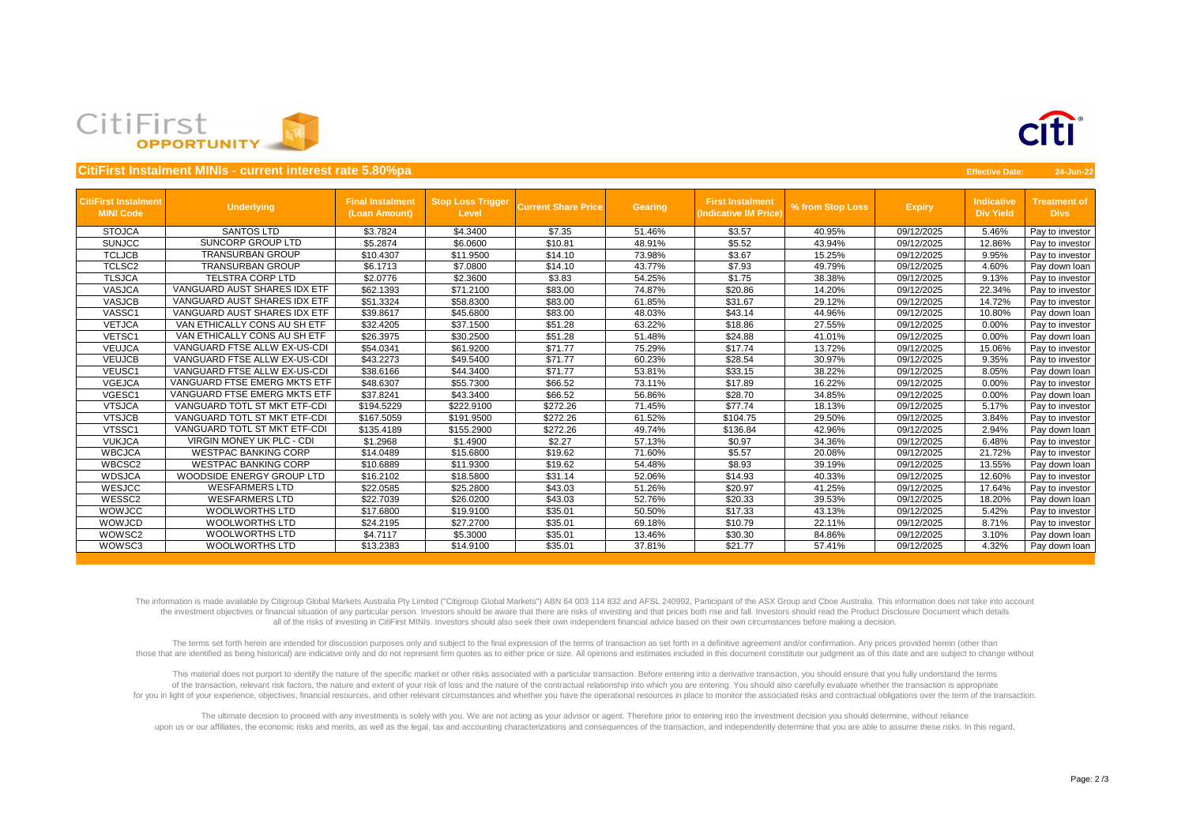

|                                                 | CitiFirst Instalment MINIs - current interest rate 5.80%pa |                                          |                                          |                            |                |                                                  |                  |               | <b>Effective Date:</b>                | 24-Jun-22                          |
|-------------------------------------------------|------------------------------------------------------------|------------------------------------------|------------------------------------------|----------------------------|----------------|--------------------------------------------------|------------------|---------------|---------------------------------------|------------------------------------|
| <b>CitiFirst Instalment</b><br><b>MINI Code</b> | <b>Underlying</b>                                          | <b>Final Instalment</b><br>(Loan Amount) | <b>Stop Loss Trigger</b><br><b>Level</b> | <b>Current Share Price</b> | <b>Gearing</b> | <b>First Instalment</b><br>(Indicative IM Price) | % from Stop Loss | <b>Expiry</b> | <b>Indicative</b><br><b>Div Yield</b> | <b>Treatment of</b><br><b>Divs</b> |
| <b>STOJCA</b>                                   | <b>SANTOS LTD</b>                                          | \$3.7824                                 | \$4.3400                                 | \$7.35                     | 51.46%         | \$3.57                                           | 40.95%           | 09/12/2025    | 5.46%                                 | Pay to investor                    |
| <b>SUNJCC</b>                                   | SUNCORP GROUP LTD                                          | \$5.2874                                 | \$6.0600                                 | \$10.81                    | 48.91%         | \$5.52                                           | 43.94%           | 09/12/2025    | 12.86%                                | Pay to investor                    |
| <b>TCLJCB</b>                                   | <b>TRANSURBAN GROUP</b>                                    | \$10.4307                                | \$11.9500                                | \$14.10                    | 73.98%         | \$3.67                                           | 15.25%           | 09/12/2025    | 9.95%                                 | Pay to investor                    |
| <b>TCLSC2</b>                                   | <b>TRANSURBAN GROUP</b>                                    | \$6.1713                                 | \$7.0800                                 | \$14.10                    | 43.77%         | \$7.93                                           | 49.79%           | 09/12/2025    | 4.60%                                 | Pay down loan                      |
| <b>TLSJCA</b>                                   | <b>TELSTRA CORP LTD</b>                                    | \$2.0776                                 | \$2.3600                                 | \$3.83                     | 54.25%         | \$1.75                                           | 38.38%           | 09/12/2025    | 9.13%                                 | Pay to investor                    |
| <b>VASJCA</b>                                   | VANGUARD AUST SHARES IDX ETF                               | \$62.1393                                | \$71.2100                                | \$83.00                    | 74.87%         | \$20.86                                          | 14.20%           | 09/12/2025    | 22.34%                                | Pay to investor                    |
| <b>VASJCB</b>                                   | VANGUARD AUST SHARES IDX ETF                               | \$51.3324                                | \$58.8300                                | \$83.00                    | 61.85%         | \$31.67                                          | 29.12%           | 09/12/2025    | 14.72%                                | Pay to investor                    |
| VASSC1                                          | VANGUARD AUST SHARES IDX ETF                               | \$39.8617                                | \$45.6800                                | \$83.00                    | 48.03%         | \$43.14                                          | 44.96%           | 09/12/2025    | 10.80%                                | Pay down loan                      |
| <b>VETJCA</b>                                   | VAN ETHICALLY CONS AU SH ETF                               | \$32.4205                                | \$37.1500                                | \$51.28                    | 63.22%         | \$18.86                                          | 27.55%           | 09/12/2025    | 0.00%                                 | Pay to investor                    |
| VETSC1                                          | VAN ETHICALLY CONS AU SH ETF                               | \$26.3975                                | \$30.2500                                | \$51.28                    | 51.48%         | \$24.88                                          | 41.01%           | 09/12/2025    | 0.00%                                 | Pay down loan                      |
| <b>VEUJCA</b>                                   | VANGUARD FTSE ALLW EX-US-CDI                               | \$54.0341                                | \$61.9200                                | \$71.77                    | 75.29%         | \$17.74                                          | 13.72%           | 09/12/2025    | 15.06%                                | Pay to investor                    |
| <b>VEUJCB</b>                                   | VANGUARD FTSE ALLW EX-US-CDI                               | \$43.2273                                | \$49.5400                                | \$71.77                    | 60.23%         | \$28.54                                          | 30.97%           | 09/12/2025    | 9.35%                                 | Pay to investor                    |
| VEUSC1                                          | VANGUARD FTSE ALLW EX-US-CDI                               | \$38.6166                                | \$44.3400                                | \$71.77                    | 53.81%         | \$33.15                                          | 38.22%           | 09/12/2025    | 8.05%                                 | Pay down loan                      |
| <b>VGEJCA</b>                                   | VANGUARD FTSE EMERG MKTS ETF                               | \$48.6307                                | \$55.7300                                | \$66.52                    | 73.11%         | \$17.89                                          | 16.22%           | 09/12/2025    | 0.00%                                 | Pay to investor                    |
| VGESC1                                          | VANGUARD FTSE EMERG MKTS ETF                               | \$37.8241                                | \$43.3400                                | \$66.52                    | 56.86%         | \$28.70                                          | 34.85%           | 09/12/2025    | 0.00%                                 | Pay down loan                      |
| <b>VTSJCA</b>                                   | VANGUARD TOTL ST MKT ETF-CDI                               | \$194.5229                               | \$222.9100                               | \$272.26                   | 71.45%         | \$77.74                                          | 18.13%           | 09/12/2025    | 5.17%                                 | Pay to investor                    |
| <b>VTSJCB</b>                                   | VANGUARD TOTL ST MKT ETF-CDI                               | \$167.5059                               | \$191.9500                               | \$272.26                   | 61.52%         | \$104.75                                         | 29.50%           | 09/12/2025    | 3.84%                                 | Pay to investor                    |
| VTSSC1                                          | VANGUARD TOTL ST MKT ETF-CDI                               | \$135.4189                               | \$155.2900                               | \$272.26                   | 49.74%         | \$136.84                                         | 42.96%           | 09/12/2025    | 2.94%                                 | Pay down loan                      |
| <b>VUKJCA</b>                                   | <b>VIRGIN MONEY UK PLC - CDI</b>                           | \$1.2968                                 | \$1.4900                                 | \$2.27                     | 57.13%         | \$0.97                                           | 34.36%           | 09/12/2025    | 6.48%                                 | Pay to investor                    |
| <b>WBCJCA</b>                                   | <b>WESTPAC BANKING CORP</b>                                | \$14.0489                                | \$15.6800                                | \$19.62                    | 71.60%         | \$5.57                                           | 20.08%           | 09/12/2025    | 21.72%                                | Pay to investor                    |
| WBCSC2                                          | <b>WESTPAC BANKING CORP</b>                                | \$10.6889                                | \$11.9300                                | \$19.62                    | 54.48%         | \$8.93                                           | 39.19%           | 09/12/2025    | 13.55%                                | Pay down loan                      |
| <b>WDSJCA</b>                                   | WOODSIDE ENERGY GROUP LTD                                  | \$16.2102                                | \$18.5800                                | \$31.14                    | 52.06%         | \$14.93                                          | 40.33%           | 09/12/2025    | 12.60%                                | Pay to investor                    |
| WESJCC                                          | <b>WESFARMERS LTD</b>                                      | \$22.0585                                | \$25.2800                                | \$43.03                    | 51.26%         | \$20.97                                          | 41.25%           | 09/12/2025    | 17.64%                                | Pay to investor                    |
| WESSC2                                          | <b>WESFARMERS LTD</b>                                      | \$22.7039                                | \$26.0200                                | \$43.03                    | 52.76%         | \$20.33                                          | 39.53%           | 09/12/2025    | 18.20%                                | Pay down loan                      |
| WOWJCC                                          | <b>WOOLWORTHS LTD</b>                                      | \$17.6800                                | \$19.9100                                | \$35.01                    | 50.50%         | \$17.33                                          | 43.13%           | 09/12/2025    | 5.42%                                 | Pay to investor                    |
| WOWJCD                                          | <b>WOOLWORTHS LTD</b>                                      | \$24.2195                                | \$27.2700                                | \$35.01                    | 69.18%         | \$10.79                                          | 22.11%           | 09/12/2025    | 8.71%                                 | Pay to investor                    |
| WOWSC2                                          | <b>WOOLWORTHS LTD</b>                                      | \$4.7117                                 | \$5.3000                                 | \$35.01                    | 13.46%         | \$30.30                                          | 84.86%           | 09/12/2025    | 3.10%                                 | Pay down loan                      |
| WOWSC3                                          | <b>WOOLWORTHS LTD</b>                                      | \$13.2383                                | \$14.9100                                | \$35.01                    | 37.81%         | \$21.77                                          | 57.41%           | 09/12/2025    | 4.32%                                 | Pay down loan                      |

The information is made available by Citigroup Global Markets Australia Pty Limited ("Citigroup Global Markets") ABN 64 003 114 832 and AFSL 240992, Participant of the ASX Group and Cboe Australia. This information does no the investment objectives or financial situation of any particular person. Investors should be aware that there are risks of investing and that prices both rise and fall. Investors should read the Product Disclosure Docume all of the risks of investing in CitiFirst MINIs. Investors should also seek their own independent financial advice based on their own circumstances before making a decision.

The terms set forth herein are intended for discussion purposes only and subject to the final expression of the terms of transaction as set forth in a definitive agreement and/or confirmation. Any prices provided herein (o those that are identified as being historical) are indicative only and do not represent firm quotes as to either price or size. All opinions and estimates included in this document constitute our judgment as of this date a

This material does not purport to identify the nature of the specific market or other risks associated with a particular transaction. Before entering into a derivative transaction, you should ensure that you fully understa of the transaction, relevant risk factors, the nature and extent of your risk of loss and the nature of the contractual relationship into which you are entering. You should also carefully evaluate whether the transaction i for you in light of your experience, objectives, financial resources, and other relevant circumstances and whether you have the operational resources in place to monitor the associated risks and contractual obligations ove

The ultimate decision to proceed with any investments is solely with you. We are not acting as your advisor or agent. Therefore prior to entering into the investment decision you should determine, without reliance upon us or our affiliates, the economic risks and merits, as well as the legal, tax and accounting characterizations and consequences of the transaction, and independently determine that you are able to assume these risks.